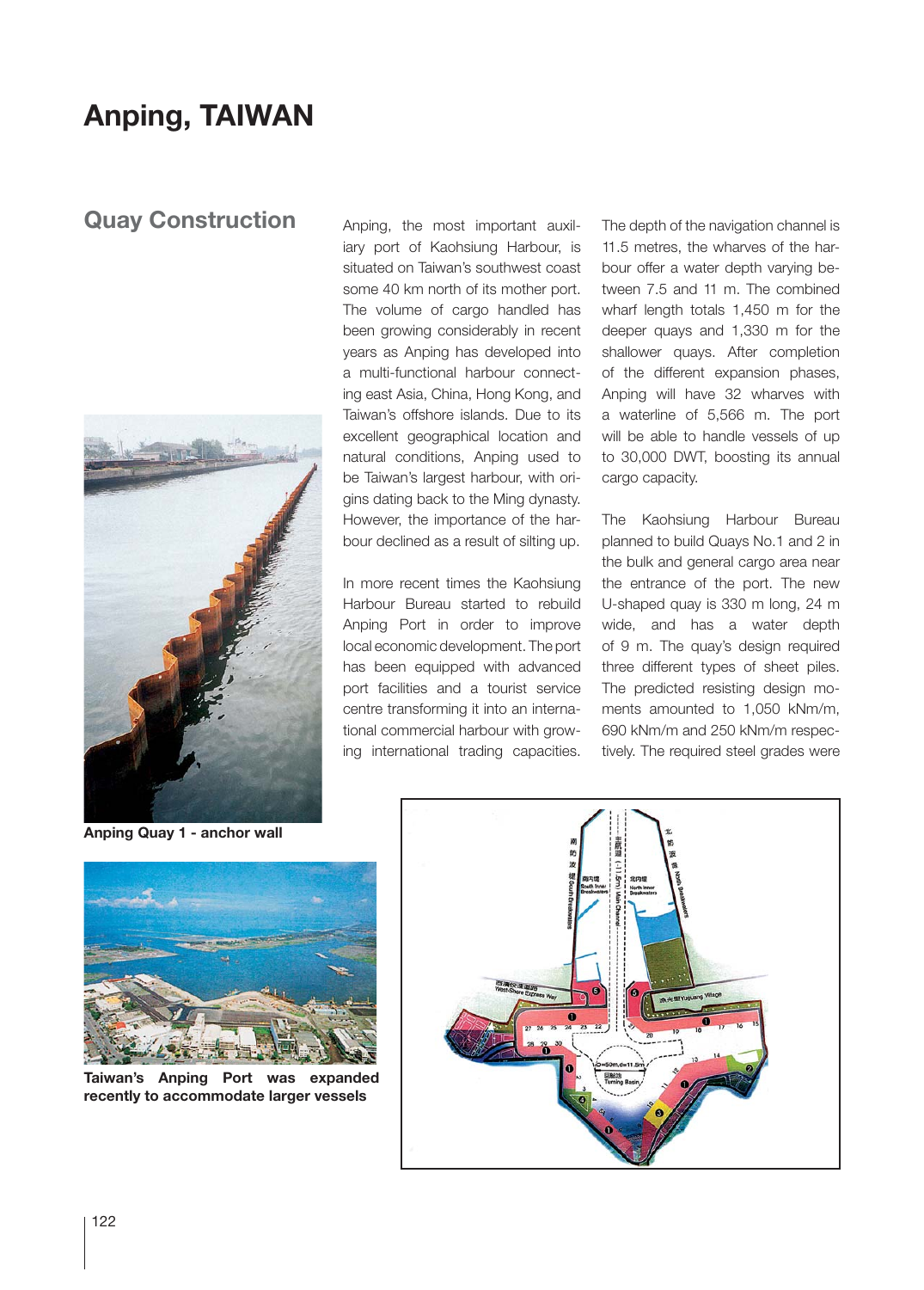## **Anping, TAIWAN**

## **Quay Construction**



Anping, the most important auxiliary port of Kaohsiung Harbour, is situated on Taiwan's southwest coast some 40 km north of its mother port. The volume of cargo handled has been growing considerably in recent years as Anping has developed into a multi-functional harbour connecting east Asia, China, Hong Kong, and Taiwan's offshore islands. Due to its excellent geographical location and natural conditions, Anping used to be Taiwan's largest harbour, with origins dating back to the Ming dynasty. However, the importance of the harbour declined as a result of silting up.

In more recent times the Kaohsiung Harbour Bureau started to rebuild Anping Port in order to improve local economic development. The port has been equipped with advanced port facilities and a tourist service centre transforming it into an international commercial harbour with growing international trading capacities. The depth of the navigation channel is 11.5 metres, the wharves of the harbour offer a water depth varying between 7.5 and 11 m. The combined wharf length totals 1,450 m for the deeper quays and 1,330 m for the shallower quays. After completion of the different expansion phases, Anping will have 32 wharves with a waterline of 5,566 m. The port will be able to handle vessels of up to 30,000 DWT, boosting its annual cargo capacity.

The Kaohsiung Harbour Bureau planned to build Quays No.1 and 2 in the bulk and general cargo area near the entrance of the port. The new U-shaped quay is 330 m long, 24 m wide, and has a water depth of 9 m. The quay's design required three different types of sheet piles. The predicted resisting design moments amounted to 1,050 kNm/m, 690 kNm/m and 250 kNm/m respectively. The required steel grades were

**Anping Quay 1 - anchor wall**



**Taiwan's Anping Port was expanded recently to accommodate larger vessels**

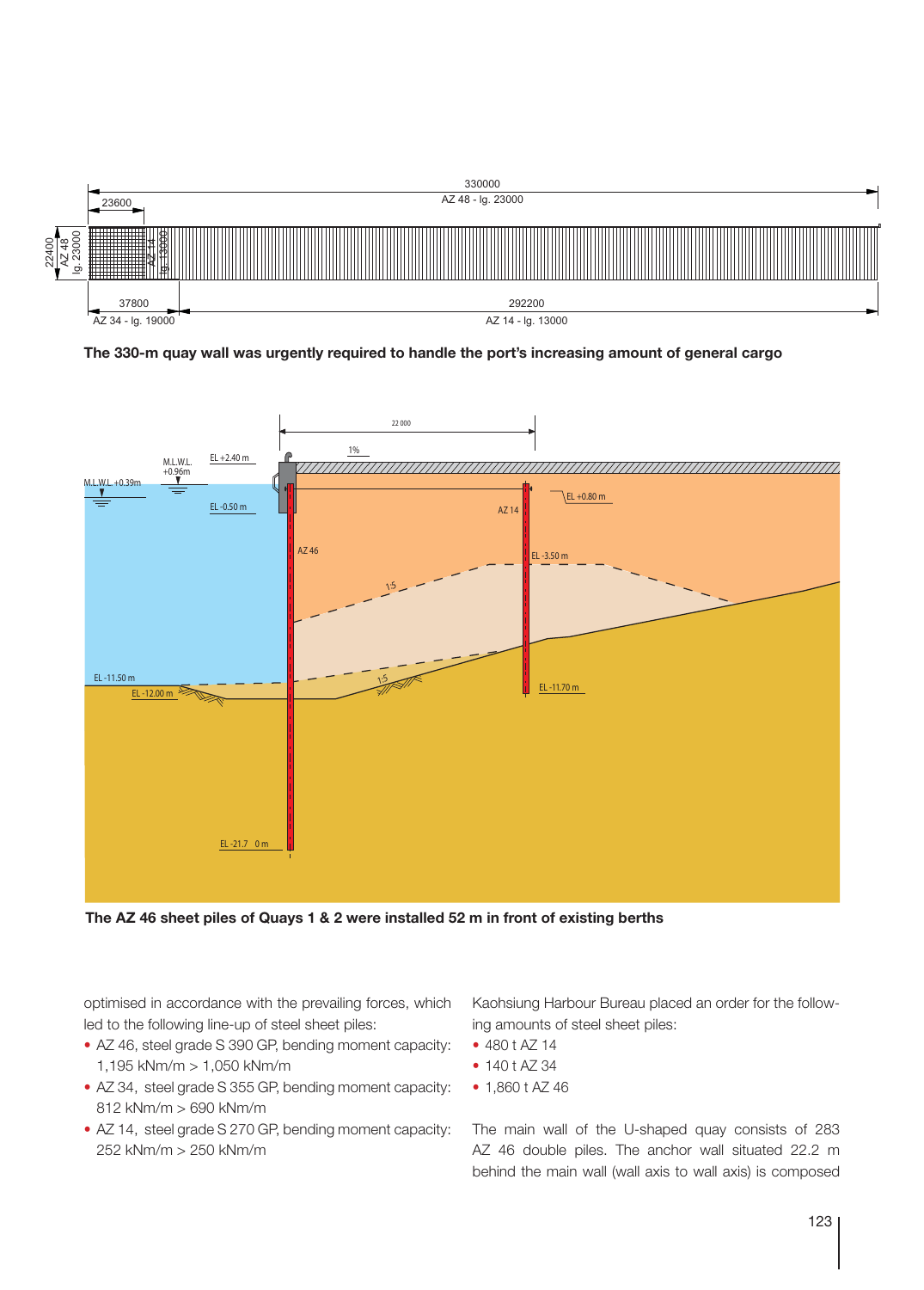

**The 330-m quay wall was urgently required to handle the port's increasing amount of general cargo**



**The AZ 46 sheet piles of Quays 1 & 2 were installed 52 m in front of existing berths**

optimised in accordance with the prevailing forces, which led to the following line-up of steel sheet piles:

- AZ 46, steel grade S 390 GP, bending moment capacity: 1,195 kNm/m > 1,050 kNm/m
- AZ 34, steel grade S 355 GP, bending moment capacity: 812 kNm/m > 690 kNm/m
- AZ 14, steel grade S 270 GP, bending moment capacity: 252 kNm/m > 250 kNm/m

Kaohsiung Harbour Bureau placed an order for the following amounts of steel sheet piles:

- 480 t AZ 14
- 140 t AZ 34
- 1,860 t AZ 46

The main wall of the U-shaped quay consists of 283 AZ 46 double piles. The anchor wall situated 22.2 m behind the main wall (wall axis to wall axis) is composed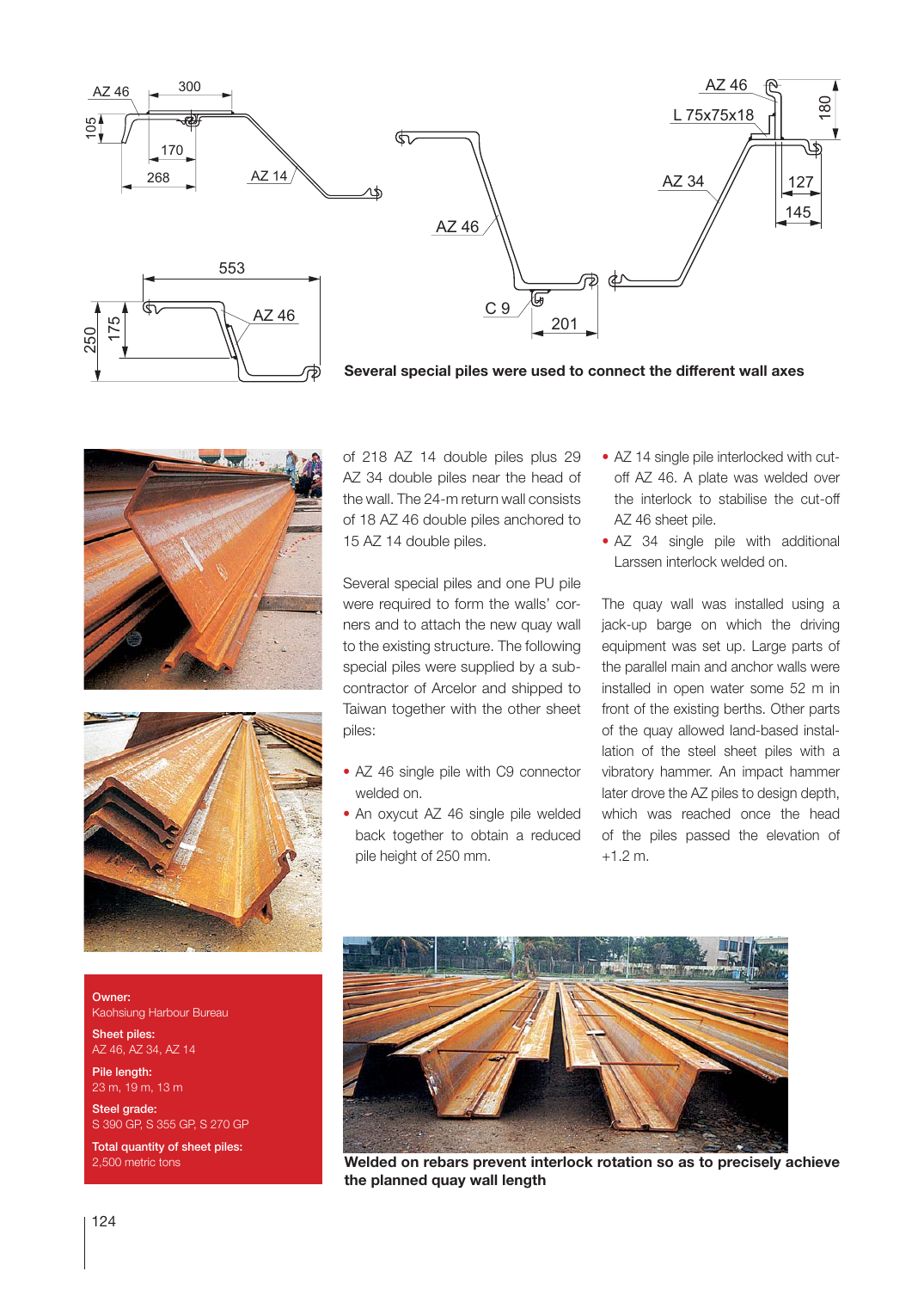





**Several special piles were used to connect the different wall axes**





of 218 AZ 14 double piles plus 29 AZ 34 double piles near the head of the wall. The 24-m return wall consists of 18 AZ 46 double piles anchored to 15 AZ 14 double piles.

Several special piles and one PU pile were required to form the walls' corners and to attach the new quay wall to the existing structure. The following special piles were supplied by a subcontractor of Arcelor and shipped to Taiwan together with the other sheet piles:

- AZ 46 single pile with C9 connector welded on.
- An oxycut AZ 46 single pile welded back together to obtain a reduced pile height of 250 mm.
- AZ 14 single pile interlocked with cutoff AZ 46. A plate was welded over the interlock to stabilise the cut-off AZ 46 sheet pile.
- AZ 34 single pile with additional Larssen interlock welded on.

The quay wall was installed using a jack-up barge on which the driving equipment was set up. Large parts of the parallel main and anchor walls were installed in open water some 52 m in front of the existing berths. Other parts of the quay allowed land-based installation of the steel sheet piles with a vibratory hammer. An impact hammer later drove the AZ piles to design depth, which was reached once the head of the piles passed the elevation of +1.2 m.

Owner: Kaohsiung Harbour Bureau Sheet piles:

AZ 46, AZ 34, AZ 14 Pile length: 23 m, 19 m, 13 m

Steel grade: S 390 GP, S 355 GP, S 270 GP

**Total quantity of sheet piles:**<br>2,500 metric tons



**Welded on rebars prevent interlock rotation so as to precisely achieve the planned quay wall length**